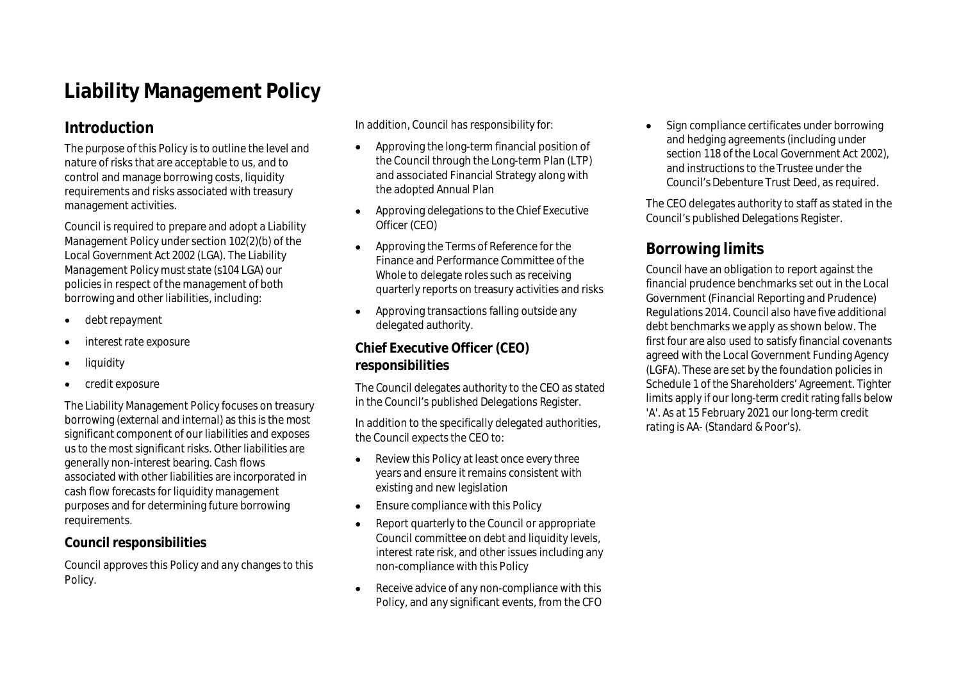# **Liability Management Policy**

# **Introduction**

The purpose of this Policy is to outline the level and nature of risks that are acceptable to us, and to control and manage borrowing costs, liquidity requirements and risks associated with treasury management activities.

Council is required to prepare and adopt a Liability Management Policy under section 102(2)(b) of the Local Government Act 2002 (LGA). The Liability Management Policy must state (s104 LGA) our policies in respect of the management of both borrowing and other liabilities, including:

- debt repayment
- interest rate exposure
- liquidity
- credit exposure

The Liability Management Policy focuses on treasury borrowing (external and internal) as this is the most significant component of our liabilities and exposes us to the most significant risks. Other liabilities are generally non-interest bearing. Cash flows associated with other liabilities are incorporated in cash flow forecasts for liquidity management purposes and for determining future borrowing requirements.

#### **Council responsibilities**

Council approves this Policy and any changes to this Policy.

In addition, Council has responsibility for:

- Approving the long-term financial position of the Council through the Long-term Plan (LTP) and associated Financial Strategy along with the adopted Annual Plan
- Approving delegations to the Chief Executive Officer (CEO)
- Approving the Terms of Reference for the Finance and Performance Committee of the Whole to delegate roles such as receiving quarterly reports on treasury activities and risks
- Approving transactions falling outside any delegated authority.

#### **Chief Executive Officer (CEO) responsibilities**

The Council delegates authority to the CEO as stated in the Council's published Delegations Register.

In addition to the specifically delegated authorities, the Council expects the CEO to:

- Review this Policy at least once every three years and ensure it remains consistent with existing and new legislation
- Ensure compliance with this Policy
- Report quarterly to the Council or appropriate Council committee on debt and liquidity levels, interest rate risk, and other issues including any non-compliance with this Policy
- Receive advice of any non-compliance with this Policy, and any significant events, from the CFO

• Sign compliance certificates under borrowing and hedging agreements (including under section 118 of the Local Government Act 2002), and instructions to the Trustee under the Council's Debenture Trust Deed, as required.

The CEO delegates authority to staff as stated in the Council's published Delegations Register.

# **Borrowing limits**

Council have an obligation to report against the financial prudence benchmarks set out in the Local Government (Financial Reporting and Prudence) Regulations 2014. Council also have five additional debt benchmarks we apply as shown below. The first four are also used to satisfy financial covenants agreed with the Local Government Funding Agency (LGFA). These are set by the foundation policies in Schedule 1 of the Shareholders' Agreement. Tighter limits apply if our long-term credit rating falls below 'A'. As at 15 February 2021 our long-term credit rating is AA- (Standard & Poor's).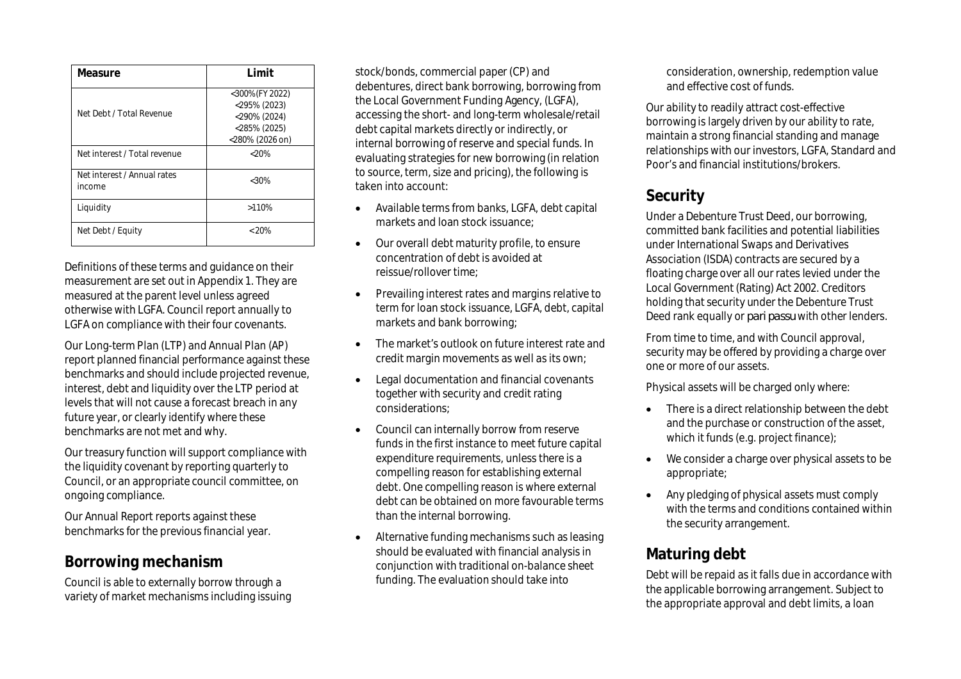| Measure                               | I imit                                                                                  |
|---------------------------------------|-----------------------------------------------------------------------------------------|
| Net Debt / Total Revenue              | <300%(FY 2022)<br>$<$ 295% (2023)<br><290% (2024)<br>$<$ 285% (2025)<br><280% (2026 on) |
| Net interest / Total revenue          | $< 20\%$                                                                                |
| Net interest / Annual rates<br>income | $<30\%$                                                                                 |
| Liquidity                             | >110%                                                                                   |
| Net Debt / Equity                     | $< 20\%$                                                                                |

Definitions of these terms and guidance on their measurement are set out in Appendix 1. They are measured at the parent level unless agreed otherwise with LGFA. Council report annually to LGFA on compliance with their four covenants.

Our Long-term Plan (LTP) and Annual Plan (AP) report planned financial performance against these benchmarks and should include projected revenue, interest, debt and liquidity over the LTP period at levels that will not cause a forecast breach in any future year, or clearly identify where these benchmarks are not met and why.

Our treasury function will support compliance with the liquidity covenant by reporting quarterly to Council, or an appropriate council committee, on ongoing compliance.

Our Annual Report reports against these benchmarks for the previous financial year.

#### **Borrowing mechanism**

Council is able to externally borrow through a variety of market mechanisms including issuing stock/bonds, commercial paper (CP) and debentures, direct bank borrowing, borrowing from the Local Government Funding Agency, (LGFA), accessing the short- and long-term wholesale/retail debt capital markets directly or indirectly, or internal borrowing of reserve and special funds. In evaluating strategies for new borrowing (in relation to source, term, size and pricing), the following is taken into account:

- Available terms from banks, LGFA, debt capital markets and loan stock issuance;
- Our overall debt maturity profile, to ensure concentration of debt is avoided at reissue/rollover time;
- Prevailing interest rates and margins relative to term for loan stock issuance, LGFA, debt, capital markets and bank borrowing;
- The market's outlook on future interest rate and credit margin movements as well as its own;
- Legal documentation and financial covenants together with security and credit rating considerations;
- Council can internally borrow from reserve funds in the first instance to meet future capital expenditure requirements, unless there is a compelling reason for establishing external debt. One compelling reason is where external debt can be obtained on more favourable terms than the internal borrowing.
- Alternative funding mechanisms such as leasing should be evaluated with financial analysis in conjunction with traditional on-balance sheet funding. The evaluation should take into

consideration, ownership, redemption value and effective cost of funds.

Our ability to readily attract cost-effective borrowing is largely driven by our ability to rate, maintain a strong financial standing and manage relationships with our investors, LGFA, Standard and Poor's and financial institutions/brokers.

### **Security**

Under a Debenture Trust Deed, our borrowing, committed bank facilities and potential liabilities under International Swaps and Derivatives Association (ISDA) contracts are secured by a floating charge over all our rates levied under the Local Government (Rating) Act 2002. Creditors holding that security under the Debenture Trust Deed rank equally or *pari passu* with other lenders.

From time to time, and with Council approval, security may be offered by providing a charge over one or more of our assets.

Physical assets will be charged only where:

- There is a direct relationship between the debt and the purchase or construction of the asset, which it funds (e.g. project finance);
- We consider a charge over physical assets to be appropriate;
- Any pledging of physical assets must comply with the terms and conditions contained within the security arrangement.

### **Maturing debt**

Debt will be repaid as it falls due in accordance with the applicable borrowing arrangement. Subject to the appropriate approval and debt limits, a loan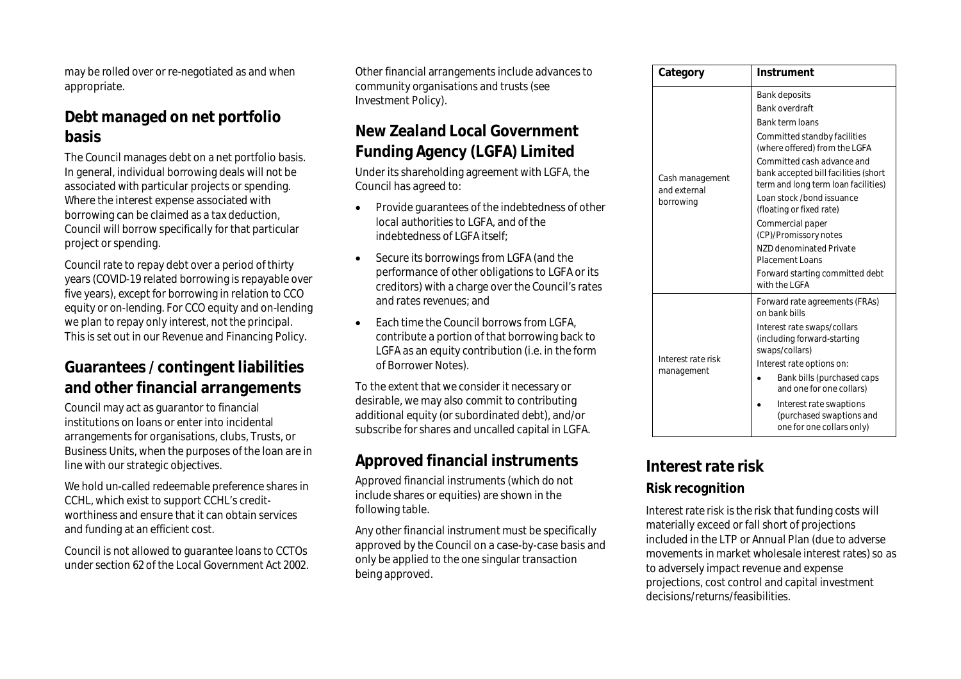may be rolled over or re-negotiated as and when appropriate.

### **Debt managed on net portfolio basis**

The Council manages debt on a net portfolio basis. In general, individual borrowing deals will not be associated with particular projects or spending. Where the interest expense associated with borrowing can be claimed as a tax deduction, Council will borrow specifically for that particular project or spending.

Council rate to repay debt over a period of thirty years (COVID-19 related borrowing is repayable over five years), except for borrowing in relation to CCO equity or on-lending. For CCO equity and on-lending we plan to repay only interest, not the principal. This is set out in our Revenue and Financing Policy.

### **Guarantees / contingent liabilities and other financial arrangements**

Council may act as guarantor to financial institutions on loans or enter into incidental arrangements for organisations, clubs, Trusts, or Business Units, when the purposes of the loan are in line with our strategic objectives.

We hold un-called redeemable preference shares in CCHL, which exist to support CCHL's creditworthiness and ensure that it can obtain services and funding at an efficient cost.

Council is not allowed to guarantee loans to CCTOs under section 62 of the Local Government Act 2002.

Other financial arrangements include advances to community organisations and trusts (see Investment Policy).

### **New Zealand Local Government Funding Agency (LGFA) Limited**

Under its shareholding agreement with LGFA, the Council has agreed to:

- Provide guarantees of the indebtedness of other local authorities to LGFA, and of the indebtedness of LGFA itself;
- Secure its borrowings from LGFA (and the performance of other obligations to LGFA or its creditors) with a charge over the Council's rates and rates revenues; and
- Each time the Council borrows from LGFA. contribute a portion of that borrowing back to LGFA as an equity contribution (i.e. in the form of Borrower Notes).

To the extent that we consider it necessary or desirable, we may also commit to contributing additional equity (or subordinated debt), and/or subscribe for shares and uncalled capital in LGFA.

# **Approved financial instruments**

Approved financial instruments (which do not include shares or equities) are shown in the following table.

Any other financial instrument must be specifically approved by the Council on a case-by-case basis and only be applied to the one singular transaction being approved.

| Category                                     | Instrument                                                                                                                                                                                                                                                                                                                                                                                                                                              |  |
|----------------------------------------------|---------------------------------------------------------------------------------------------------------------------------------------------------------------------------------------------------------------------------------------------------------------------------------------------------------------------------------------------------------------------------------------------------------------------------------------------------------|--|
| Cash management<br>and external<br>borrowing | Bank deposits<br><b>Bank overdraft</b><br>Bank term loans<br>Committed standby facilities<br>(where offered) from the LGFA<br>Committed cash advance and<br>bank accepted bill facilities (short<br>term and long term loan facilities)<br>Loan stock /bond issuance<br>(floating or fixed rate)<br>Commercial paper<br>(CP)/Promissory notes<br>NZD denominated Private<br><b>Placement Loans</b><br>Forward starting committed debt<br>with the I GFA |  |
| Interest rate risk<br>management             | Forward rate agreements (FRAs)<br>on bank bills<br>Interest rate swaps/collars<br>(including forward-starting<br>swaps/collars)<br>Interest rate options on:<br>Bank bills (purchased caps<br>and one for one collars)<br>Interest rate swaptions<br>(purchased swaptions and<br>one for one collars only)                                                                                                                                              |  |

### **Interest rate risk**

#### **Risk recognition**

Interest rate risk is the risk that funding costs will materially exceed or fall short of projections included in the LTP or Annual Plan (due to adverse movements in market wholesale interest rates) so as to adversely impact revenue and expense projections, cost control and capital investment decisions/returns/feasibilities.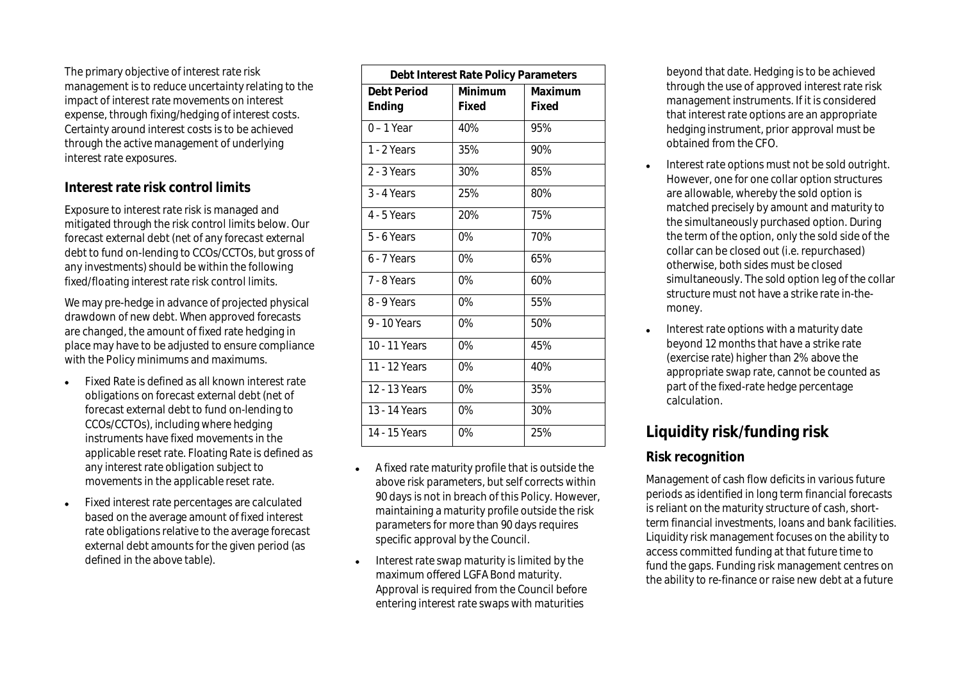The primary objective of interest rate risk management is to reduce uncertainty relating to the impact of interest rate movements on interest expense, through fixing/hedging of interest costs. Certainty around interest costs is to be achieved through the active management of underlying interest rate exposures.

#### **Interest rate risk control limits**

Exposure to interest rate risk is managed and mitigated through the risk control limits below. Our forecast external debt (net of any forecast external debt to fund on-lending to CCOs/CCTOs, but gross of any investments) should be within the following fixed/floating interest rate risk control limits.

We may pre-hedge in advance of projected physical drawdown of new debt. When approved forecasts are changed, the amount of fixed rate hedging in place may have to be adjusted to ensure compliance with the Policy minimums and maximums.

- Fixed Rate is defined as all known interest rate obligations on forecast external debt (net of forecast external debt to fund on-lending to CCOs/CCTOs), including where hedging instruments have fixed movements in the applicable reset rate. Floating Rate is defined as any interest rate obligation subject to movements in the applicable reset rate.
- Fixed interest rate percentages are calculated based on the average amount of fixed interest rate obligations relative to the average forecast external debt amounts for the given period (as defined in the above table).

| Debt Interest Rate Policy Parameters |         |         |
|--------------------------------------|---------|---------|
| Debt Period                          | Minimum | Maximum |
| Ending                               | Fixed   | Fixed   |
| $0 - 1$ Year                         | 40%     | 95%     |
| 1 - 2 Years                          | 35%     | 90%     |
| 2 - 3 Years                          | 30%     | 85%     |
| 3 - 4 Years                          | 25%     | 80%     |
| 4 - 5 Years                          | 20%     | 75%     |
| 5 - 6 Years                          | $0\%$   | 70%     |
| 6 - 7 Years                          | $0\%$   | 65%     |
| 7 - 8 Years                          | $0\%$   | 60%     |
| 8 - 9 Years                          | $0\%$   | 55%     |
| 9 - 10 Years                         | $0\%$   | 50%     |
| 10 - 11 Years                        | 0%      | 45%     |
| 11 - 12 Years                        | $0\%$   | 40%     |
| 12 - 13 Years                        | $0\%$   | 35%     |
| 13 - 14 Years                        | $0\%$   | 30%     |
| 14 - 15 Years                        | 0%      | 25%     |

- A fixed rate maturity profile that is outside the above risk parameters, but self corrects within 90 days is not in breach of this Policy. However, maintaining a maturity profile outside the risk parameters for more than 90 days requires specific approval by the Council.
- Interest rate swap maturity is limited by the maximum offered LGFA Bond maturity. Approval is required from the Council before entering interest rate swaps with maturities

beyond that date. Hedging is to be achieved through the use of approved interest rate risk management instruments. If it is considered that interest rate options are an appropriate hedging instrument, prior approval must be obtained from the CFO.

- Interest rate options must not be sold outright. However, one for one collar option structures are allowable, whereby the sold option is matched precisely by amount and maturity to the simultaneously purchased option. During the term of the option, only the sold side of the collar can be closed out (i.e. repurchased) otherwise, both sides must be closed simultaneously. The sold option leg of the collar structure must not have a strike rate in-themoney.
- Interest rate options with a maturity date beyond 12 months that have a strike rate (exercise rate) higher than 2% above the appropriate swap rate, cannot be counted as part of the fixed-rate hedge percentage calculation.

# **Liquidity risk/funding risk**

#### **Risk recognition**

Management of cash flow deficits in various future periods as identified in long term financial forecasts is reliant on the maturity structure of cash, shortterm financial investments, loans and bank facilities. Liquidity risk management focuses on the ability to access committed funding at that future time to fund the gaps. Funding risk management centres on the ability to re-finance or raise new debt at a future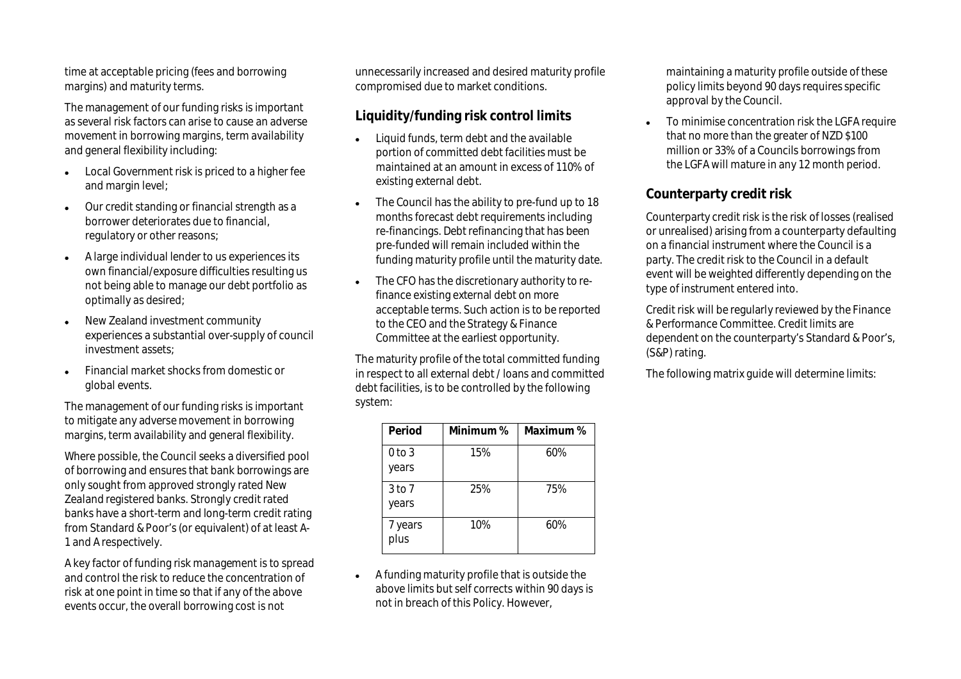time at acceptable pricing (fees and borrowing margins) and maturity terms.

The management of our funding risks is important as several risk factors can arise to cause an adverse movement in borrowing margins, term availability and general flexibility including:

- Local Government risk is priced to a higher fee and margin level;
- Our credit standing or financial strength as a borrower deteriorates due to financial, regulatory or other reasons;
- A large individual lender to us experiences its own financial/exposure difficulties resulting us not being able to manage our debt portfolio as optimally as desired;
- New Zealand investment community experiences a substantial over-supply of council investment assets;
- Financial market shocks from domestic or global events.

The management of our funding risks is important to mitigate any adverse movement in borrowing margins, term availability and general flexibility.

Where possible, the Council seeks a diversified pool of borrowing and ensures that bank borrowings are only sought from approved strongly rated New Zealand registered banks. Strongly credit rated banks have a short-term and long-term credit rating from Standard & Poor's (or equivalent) of at least A-1 and A respectively.

A key factor of funding risk management is to spread and control the risk to reduce the concentration of risk at one point in time so that if any of the above events occur, the overall borrowing cost is not

unnecessarily increased and desired maturity profile compromised due to market conditions.

#### **Liquidity/funding risk control limits**

- Liquid funds, term debt and the available portion of committed debt facilities must be maintained at an amount in excess of 110% of existing external debt.
- The Council has the ability to pre-fund up to 18 months forecast debt requirements including re-financings. Debt refinancing that has been pre-funded will remain included within the funding maturity profile until the maturity date.
- The CFO has the discretionary authority to refinance existing external debt on more acceptable terms. Such action is to be reported to the CEO and the Strategy & Finance Committee at the earliest opportunity.

The maturity profile of the total committed funding in respect to all external debt / loans and committed debt facilities, is to be controlled by the following system:

| Period                     | Minimum % | Maximum % |
|----------------------------|-----------|-----------|
| $0$ to $3$<br>years        | 15%       | 60%       |
| 3 <sub>to</sub> 7<br>years | 25%       | 75%       |
| 7 years<br>plus            | 10%       | 60%       |

 A funding maturity profile that is outside the above limits but self corrects within 90 days is not in breach of this Policy. However,

maintaining a maturity profile outside of these policy limits beyond 90 days requires specific approval by the Council.

 To minimise concentration risk the LGFA require that no more than the greater of NZD \$100 million or 33% of a Councils borrowings from the LGFA will mature in any 12 month period.

#### **Counterparty credit risk**

Counterparty credit risk is the risk of losses (realised or unrealised) arising from a counterparty defaulting on a financial instrument where the Council is a party. The credit risk to the Council in a default event will be weighted differently depending on the type of instrument entered into.

Credit risk will be regularly reviewed by the Finance & Performance Committee. Credit limits are dependent on the counterparty's Standard & Poor's, (S&P) rating.

The following matrix guide will determine limits: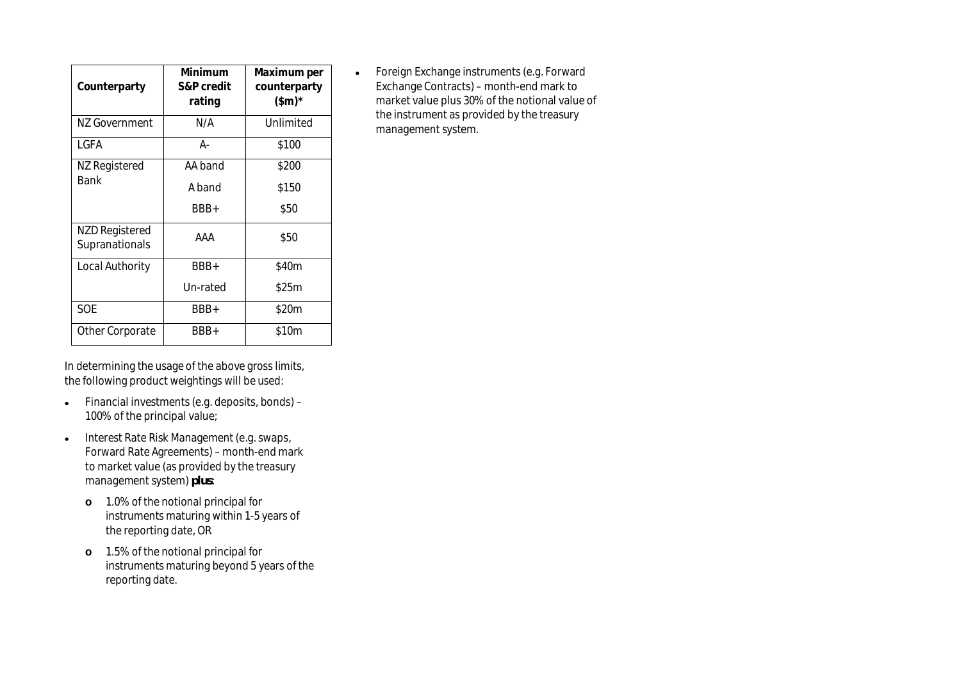| Counterparty                            | Minimum<br>S&P credit<br>rating | Maximum per<br>counterparty<br>$(\$m)^*$ |
|-----------------------------------------|---------------------------------|------------------------------------------|
| NZ Government                           | N/A                             | Unlimited                                |
| I GFA                                   | А-                              | \$100                                    |
| NZ Registered                           | AA band                         | \$200                                    |
| <b>Bank</b>                             | A band                          | \$150                                    |
|                                         | BBB+                            | \$50                                     |
| <b>NZD Registered</b><br>Supranationals | AAA                             | \$50                                     |
| Local Authority                         | BBB+                            | \$40m                                    |
|                                         | Un-rated                        | \$25m                                    |
| <b>SOE</b>                              | BBB+                            | \$20m                                    |
| Other Corporate                         | BBB+                            | \$10m                                    |

• Foreign Exchange instruments (e.g. Forward Exchange Contracts) – month-end mark to market value plus 30% of the notional value of the instrument as provided by the treasury management system.

In determining the usage of the above gross limits, the following product weightings will be used:

- Financial investments (e.g. deposits, bonds) 100% of the principal value;
- Interest Rate Risk Management (e.g. swaps, Forward Rate Agreements) – month-end mark to market value (as provided by the treasury management system) *plus*:
	- **o** 1.0% of the notional principal for instruments maturing within 1-5 years of the reporting date, OR
	- **o** 1.5% of the notional principal for instruments maturing beyond 5 years of the reporting date.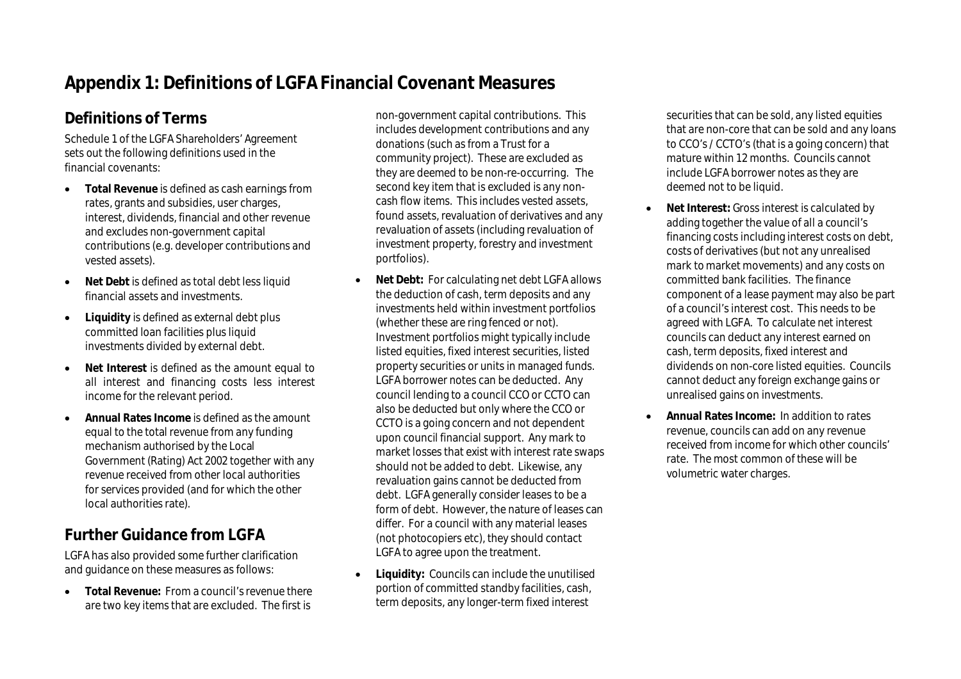# **Appendix 1: Definitions of LGFA Financial Covenant Measures**

# **Definitions of Terms**

Schedule 1 of the LGFA Shareholders' Agreement sets out the following definitions used in the financial covenants:

- **Total Revenue** is defined as cash earnings from rates, grants and subsidies, user charges, interest, dividends, financial and other revenue and excludes non-government capital contributions (e.g. developer contributions and vested assets).
- **Net Debt** is defined as total debt less liquid financial assets and investments.
- **Liquidity** is defined as external debt plus committed loan facilities plus liquid investments divided by external debt.
- **Net Interest** is defined as the amount equal to all interest and financing costs less interest income for the relevant period.
- **Annual Rates Income** is defined as the amount equal to the total revenue from any funding mechanism authorised by the Local Government (Rating) Act 2002 together with any revenue received from other local authorities for services provided (and for which the other local authorities rate).

# **Further Guidance from LGFA**

LGFA has also provided some further clarification and guidance on these measures as follows:

 **Total Revenue:** From a council's revenue there are two key items that are excluded. The first is

non-government capital contributions. This includes development contributions and any donations (such as from a Trust for a community project). These are excluded as they are deemed to be non-re-occurring. The second key item that is excluded is any noncash flow items. This includes vested assets, found assets, revaluation of derivatives and any revaluation of assets (including revaluation of investment property, forestry and investment portfolios).

- **Net Debt:** For calculating net debt LGFA allows the deduction of cash, term deposits and any investments held within investment portfolios (whether these are ring fenced or not). Investment portfolios might typically include listed equities, fixed interest securities, listed property securities or units in managed funds. LGFA borrower notes can be deducted. Any council lending to a council CCO or CCTO can also be deducted but only where the CCO or CCTO is a going concern and not dependent upon council financial support. Any mark to market losses that exist with interest rate swaps should not be added to debt. Likewise, any revaluation gains cannot be deducted from debt. LGFA generally consider leases to be a form of debt. However, the nature of leases can differ. For a council with any material leases (not photocopiers etc), they should contact LGFA to agree upon the treatment.
- **Liquidity:** Councils can include the unutilised portion of committed standby facilities, cash, term deposits, any longer-term fixed interest

securities that can be sold, any listed equities that are non-core that can be sold and any loans to CCO's / CCTO's (that is a going concern) that mature within 12 months. Councils cannot include LGFA borrower notes as they are deemed not to be liquid.

- **Net Interest:** Gross interest is calculated by adding together the value of all a council's financing costs including interest costs on debt, costs of derivatives (but not any unrealised mark to market movements) and any costs on committed bank facilities. The finance component of a lease payment may also be part of a council's interest cost. This needs to be agreed with LGFA. To calculate net interest councils can deduct any interest earned on cash, term deposits, fixed interest and dividends on non-core listed equities. Councils cannot deduct any foreign exchange gains or unrealised gains on investments.
- **Annual Rates Income:** In addition to rates revenue, councils can add on any revenue received from income for which other councils' rate. The most common of these will be volumetric water charges.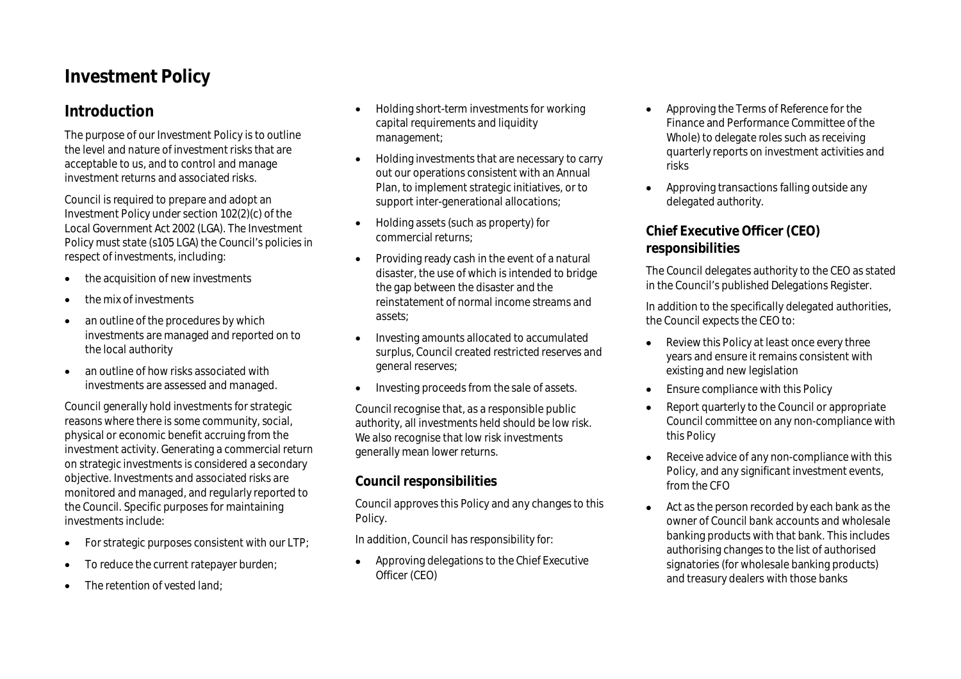# **Investment Policy**

### **Introduction**

The purpose of our Investment Policy is to outline the level and nature of investment risks that are acceptable to us, and to control and manage investment returns and associated risks.

Council is required to prepare and adopt an Investment Policy under section 102(2)(c) of the Local Government Act 2002 (LGA). The Investment Policy must state (s105 LGA) the Council's policies in respect of investments, including:

- the acquisition of new investments
- the mix of investments
- an outline of the procedures by which investments are managed and reported on to the local authority
- an outline of how risks associated with investments are assessed and managed.

Council generally hold investments for strategic reasons where there is some community, social, physical or economic benefit accruing from the investment activity. Generating a commercial return on strategic investments is considered a secondary objective. Investments and associated risks are monitored and managed, and regularly reported to the Council. Specific purposes for maintaining investments include:

- $\bullet$  For strategic purposes consistent with our LTP;
- To reduce the current ratepayer burden;
- The retention of vested land;
- Holding short-term investments for working capital requirements and liquidity management;
- Holding investments that are necessary to carry out our operations consistent with an Annual Plan, to implement strategic initiatives, or to support inter-generational allocations;
- Holding assets (such as property) for commercial returns;
- Providing ready cash in the event of a natural disaster, the use of which is intended to bridge the gap between the disaster and the reinstatement of normal income streams and assets;
- Investing amounts allocated to accumulated surplus, Council created restricted reserves and general reserves;
- Investing proceeds from the sale of assets.

Council recognise that, as a responsible public authority, all investments held should be low risk. We also recognise that low risk investments generally mean lower returns.

#### **Council responsibilities**

Council approves this Policy and any changes to this Policy.

In addition, Council has responsibility for:

 Approving delegations to the Chief Executive Officer (CEO)

- Approving the Terms of Reference for the Finance and Performance Committee of the Whole) to delegate roles such as receiving quarterly reports on investment activities and risks
- Approving transactions falling outside any delegated authority.

#### **Chief Executive Officer (CEO) responsibilities**

The Council delegates authority to the CEO as stated in the Council's published Delegations Register.

In addition to the specifically delegated authorities, the Council expects the CEO to:

- Review this Policy at least once every three years and ensure it remains consistent with existing and new legislation
- Ensure compliance with this Policy
- Report quarterly to the Council or appropriate Council committee on any non-compliance with this Policy
- Receive advice of any non-compliance with this Policy, and any significant investment events, from the CFO
- Act as the person recorded by each bank as the owner of Council bank accounts and wholesale banking products with that bank. This includes authorising changes to the list of authorised signatories (for wholesale banking products) and treasury dealers with those banks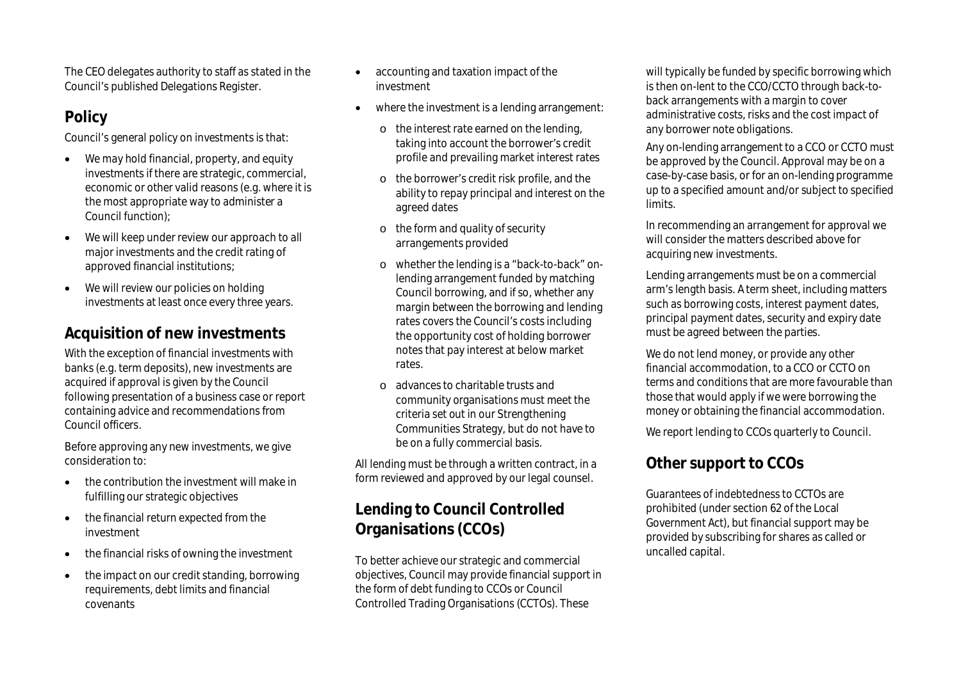The CEO delegates authority to staff as stated in the Council's published Delegations Register.

# **Policy**

Council's general policy on investments is that:

- We may hold financial, property, and equity investments if there are strategic, commercial, economic or other valid reasons (e.g. where it is the most appropriate way to administer a Council function);
- We will keep under review our approach to all major investments and the credit rating of approved financial institutions;
- We will review our policies on holding investments at least once every three years.

# **Acquisition of new investments**

With the exception of financial investments with banks (e.g. term deposits), new investments are acquired if approval is given by the Council following presentation of a business case or report containing advice and recommendations from Council officers.

Before approving any new investments, we give consideration to:

- the contribution the investment will make in fulfilling our strategic objectives
- the financial return expected from the investment
- the financial risks of owning the investment
- the impact on our credit standing, borrowing requirements, debt limits and financial covenants
- accounting and taxation impact of the investment
- where the investment is a lending arrangement:
	- o the interest rate earned on the lending, taking into account the borrower's credit profile and prevailing market interest rates
	- o the borrower's credit risk profile, and the ability to repay principal and interest on the agreed dates
	- o the form and quality of security arrangements provided
	- o whether the lending is a "back-to-back" onlending arrangement funded by matching Council borrowing, and if so, whether any margin between the borrowing and lending rates covers the Council's costs including the opportunity cost of holding borrower notes that pay interest at below market rates.
	- o advances to charitable trusts and community organisations must meet the criteria set out in our Strengthening Communities Strategy, but do not have to be on a fully commercial basis.

All lending must be through a written contract, in a form reviewed and approved by our legal counsel.

# **Lending to Council Controlled Organisations (CCOs)**

To better achieve our strategic and commercial objectives, Council may provide financial support in the form of debt funding to CCOs or Council Controlled Trading Organisations (CCTOs). These

will typically be funded by specific borrowing which is then on-lent to the CCO/CCTO through back-toback arrangements with a margin to cover administrative costs, risks and the cost impact of any borrower note obligations.

Any on-lending arrangement to a CCO or CCTO must be approved by the Council. Approval may be on a case-by-case basis, or for an on-lending programme up to a specified amount and/or subject to specified limits.

In recommending an arrangement for approval we will consider the matters described above for acquiring new investments.

Lending arrangements must be on a commercial arm's length basis. A term sheet, including matters such as borrowing costs, interest payment dates, principal payment dates, security and expiry date must be agreed between the parties.

We do not lend money, or provide any other financial accommodation, to a CCO or CCTO on terms and conditions that are more favourable than those that would apply if we were borrowing the money or obtaining the financial accommodation.

We report lending to CCOs quarterly to Council.

# **Other support to CCOs**

Guarantees of indebtedness to CCTOs are prohibited (under section 62 of the Local Government Act), but financial support may be provided by subscribing for shares as called or uncalled capital.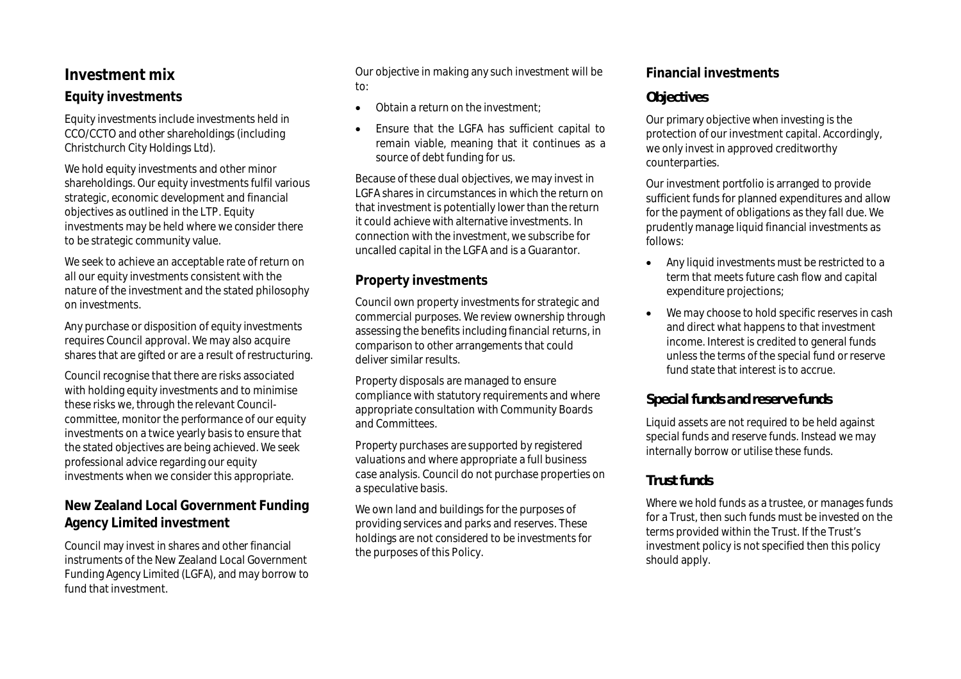#### **Investment mix**

#### **Equity investments**

Equity investments include investments held in CCO/CCTO and other shareholdings (including Christchurch City Holdings Ltd).

We hold equity investments and other minor shareholdings. Our equity investments fulfil various strategic, economic development and financial objectives as outlined in the LTP. Equity investments may be held where we consider there to be strategic community value.

We seek to achieve an acceptable rate of return on all our equity investments consistent with the nature of the investment and the stated philosophy on investments.

Any purchase or disposition of equity investments requires Council approval. We may also acquire shares that are gifted or are a result of restructuring.

Council recognise that there are risks associated with holding equity investments and to minimise these risks we, through the relevant Councilcommittee, monitor the performance of our equity investments on a twice yearly basis to ensure that the stated objectives are being achieved. We seek professional advice regarding our equity investments when we consider this appropriate.

#### **New Zealand Local Government Funding Agency Limited investment**

Council may invest in shares and other financial instruments of the New Zealand Local Government Funding Agency Limited (LGFA), and may borrow to fund that investment.

Our objective in making any such investment will be to:

- Obtain a return on the investment:
- Ensure that the LGFA has sufficient capital to remain viable, meaning that it continues as a source of debt funding for us.

Because of these dual objectives, we may invest in LGFA shares in circumstances in which the return on that investment is potentially lower than the return it could achieve with alternative investments. In connection with the investment, we subscribe for uncalled capital in the LGFA and is a Guarantor.

#### **Property investments**

Council own property investments for strategic and commercial purposes. We review ownership through assessing the benefits including financial returns, in comparison to other arrangements that could deliver similar results.

Property disposals are managed to ensure compliance with statutory requirements and where appropriate consultation with Community Boards and Committees.

Property purchases are supported by registered valuations and where appropriate a full business case analysis. Council do not purchase properties on a speculative basis.

We own land and buildings for the purposes of providing services and parks and reserves. These holdings are not considered to be investments for the purposes of this Policy.

#### **Financial investments**

#### *Objectives*

Our primary objective when investing is the protection of our investment capital. Accordingly, we only invest in approved creditworthy counterparties.

Our investment portfolio is arranged to provide sufficient funds for planned expenditures and allow for the payment of obligations as they fall due. We prudently manage liquid financial investments as follows:

- Any liquid investments must be restricted to a term that meets future cash flow and capital expenditure projections;
- We may choose to hold specific reserves in cash and direct what happens to that investment income. Interest is credited to general funds unless the terms of the special fund or reserve fund state that interest is to accrue.

#### *Special funds and reserve funds*

Liquid assets are not required to be held against special funds and reserve funds. Instead we may internally borrow or utilise these funds.

#### *Trust funds*

Where we hold funds as a trustee, or manages funds for a Trust, then such funds must be invested on the terms provided within the Trust. If the Trust's investment policy is not specified then this policy should apply.